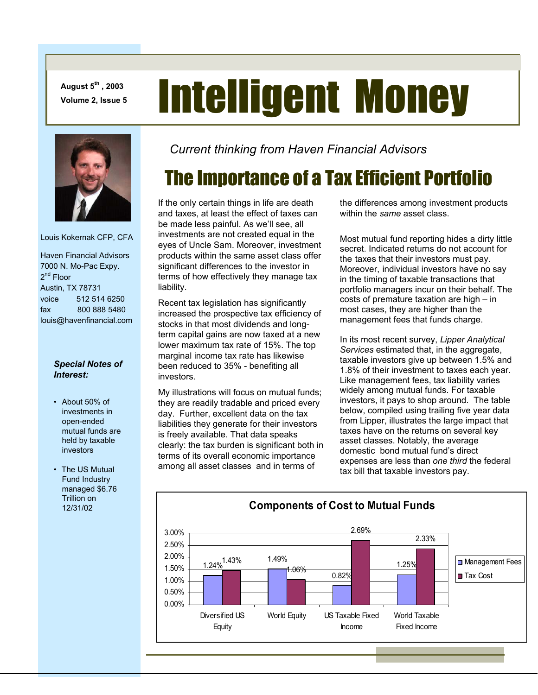**August 5th , 2003** 

# August 5<sup>th</sup>, 2003<br>Volume 2, Issue 5 **Intelligent Money**



Louis Kokernak CFP, CFA

 Haven Financial Advisors 7000 N. Mo-Pac Expy.  $2^{nd}$  Floor Austin, TX 78731 voice 512 514 6250 fax 800 888 5480 louis@havenfinancial.com

### *Special Notes of Interest:*

- About 50% of investments in open-ended mutual funds are held by taxable investors
- The US Mutual Fund Industry managed \$6.76 Trillion on 12/31/02

*Current thinking from Haven Financial Advisors* 

# The Importance of a Tax Efficient Portfolio

If the only certain things in life are death and taxes, at least the effect of taxes can be made less painful. As we'll see, all investments are not created equal in the eyes of Uncle Sam. Moreover, investment products within the same asset class offer significant differences to the investor in terms of how effectively they manage tax liability.

Recent tax legislation has significantly increased the prospective tax efficiency of stocks in that most dividends and longterm capital gains are now taxed at a new lower maximum tax rate of 15%. The top marginal income tax rate has likewise been reduced to 35% - benefiting all investors.

My illustrations will focus on mutual funds; they are readily tradable and priced every day. Further, excellent data on the tax liabilities they generate for their investors is freely available. That data speaks clearly: the tax burden is significant both in terms of its overall economic importance among all asset classes and in terms of

the differences among investment products within the *same* asset class.

Most mutual fund reporting hides a dirty little secret. Indicated returns do not account for the taxes that their investors must pay. Moreover, individual investors have no say in the timing of taxable transactions that portfolio managers incur on their behalf. The costs of premature taxation are high – in most cases, they are higher than the management fees that funds charge.

In its most recent survey, *Lipper Analytical Services* estimated that, in the aggregate, taxable investors give up between 1.5% and 1.8% of their investment to taxes each year. Like management fees, tax liability varies widely among mutual funds. For taxable investors, it pays to shop around. The table below, compiled using trailing five year data from Lipper, illustrates the large impact that taxes have on the returns on several key asset classes. Notably, the average domestic bond mutual fund's direct expenses are less than *one third* the federal tax bill that taxable investors pay.